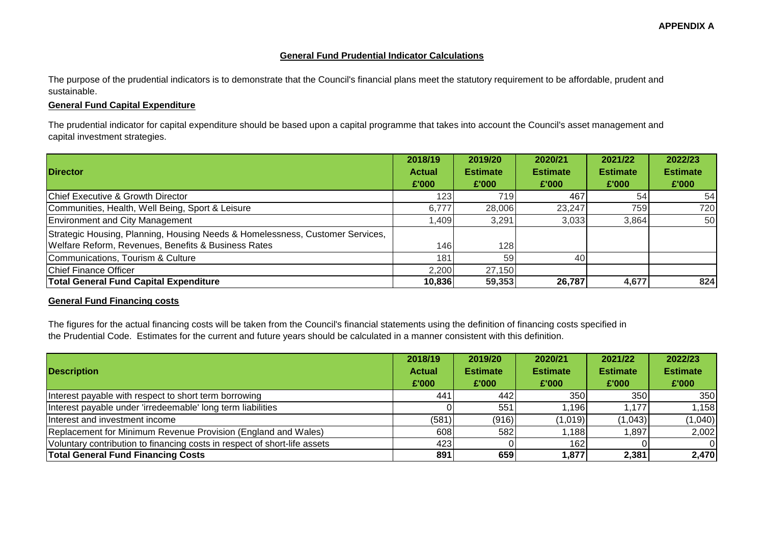#### **General Fund Prudential Indicator Calculations**

The purpose of the prudential indicators is to demonstrate that the Council's financial plans meet the statutory requirement to be affordable, prudent and sustainable.

### **General Fund Capital Expenditure**

The prudential indicator for capital expenditure should be based upon a capital programme that takes into account the Council's asset management and capital investment strategies.

| <b>Director</b>                                                                                                                      | 2018/19<br><b>Actual</b><br>£'000 | 2019/20<br><b>Estimate</b><br>£'000 | 2020/21<br><b>Estimate</b><br>£'000 | 2021/22<br><b>Estimate</b><br>£'000 | 2022/23<br><b>Estimate</b><br>£'000 |
|--------------------------------------------------------------------------------------------------------------------------------------|-----------------------------------|-------------------------------------|-------------------------------------|-------------------------------------|-------------------------------------|
| Chief Executive & Growth Director                                                                                                    | 123                               | 719                                 | 467                                 | 54                                  | 54                                  |
| Communities, Health, Well Being, Sport & Leisure                                                                                     | 6,777                             | 28,006                              | 23,247                              | 759                                 | 720                                 |
| <b>Environment and City Management</b>                                                                                               | ,409                              | 3,291                               | 3,033                               | 3,864                               | 50                                  |
| Strategic Housing, Planning, Housing Needs & Homelessness, Customer Services,<br>Welfare Reform, Revenues, Benefits & Business Rates | 146                               | 128                                 |                                     |                                     |                                     |
| Communications, Tourism & Culture                                                                                                    | 181                               | 59                                  | 40                                  |                                     |                                     |
| Chief Finance Officer                                                                                                                | 2,200                             | 27,150                              |                                     |                                     |                                     |
| <b>Total General Fund Capital Expenditure</b>                                                                                        | 10,836                            | 59,353                              | 26,787                              | 4,677                               | 824                                 |

#### **General Fund Financing costs**

The figures for the actual financing costs will be taken from the Council's financial statements using the definition of financing costs specified in the Prudential Code. Estimates for the current and future years should be calculated in a manner consistent with this definition.

|                                                                           | 2018/19       | 2019/20         | 2020/21         | 2021/22         | 2022/23          |
|---------------------------------------------------------------------------|---------------|-----------------|-----------------|-----------------|------------------|
| <b>Description</b>                                                        | <b>Actual</b> | <b>Estimate</b> | <b>Estimate</b> | <b>Estimate</b> | <b>Estimate</b>  |
|                                                                           | £'000         | £'000           | £'000           | £'000           | £'000            |
| Interest payable with respect to short term borrowing                     | 441           | 442             | 350             | 350             | 350 <sub>l</sub> |
| Interest payable under 'irredeemable' long term liabilities               |               | 551             | 1,196           | .177            | 1,158            |
| Interest and investment income                                            | (581)         | (916)           | (1,019)         | (1,043)         | (1,040)          |
| Replacement for Minimum Revenue Provision (England and Wales)             | 608           | 582             | ,188            | .897            | 2,002            |
| Voluntary contribution to financing costs in respect of short-life assets | 4231          |                 | 162             |                 |                  |
| <b>Total General Fund Financing Costs</b>                                 | 891           | 659             | 1,877           | 2,381           | 2,470            |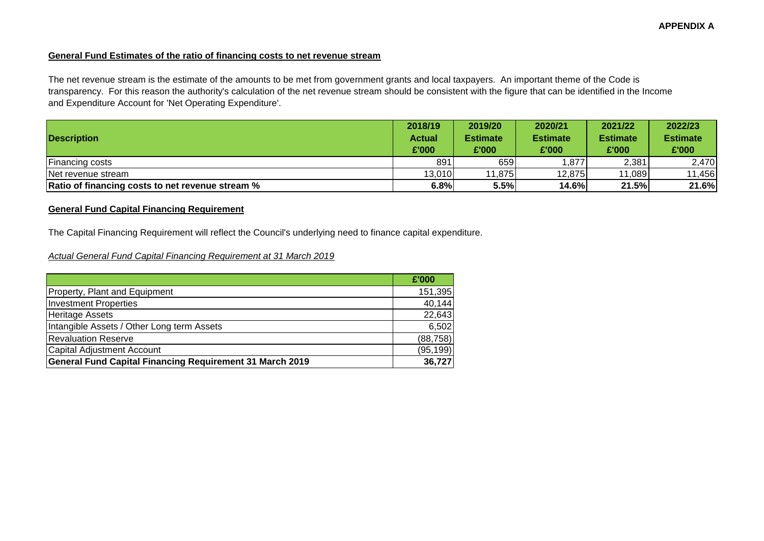### **General Fund Estimates of the ratio of financing costs to net revenue stream**

The net revenue stream is the estimate of the amounts to be met from government grants and local taxpayers. An important theme of the Code is transparency. For this reason the authority's calculation of the net revenue stream should be consistent with the figure that can be identified in the Income and Expenditure Account for 'Net Operating Expenditure'.

|                                                         |                        | 2019/20                  | 2020/21                  | 2021/22                  | 2022/23                  |
|---------------------------------------------------------|------------------------|--------------------------|--------------------------|--------------------------|--------------------------|
| <b>Description</b>                                      | <b>Actual</b><br>£'000 | <b>Estimate</b><br>£'000 | <b>Estimate</b><br>£'000 | <b>Estimate</b><br>£'000 | <b>Estimate</b><br>£'000 |
| <b>Financing costs</b>                                  | 891                    | 659                      | 1,877                    | 2,381                    | 2,470                    |
| Net revenue stream                                      | 13,010                 | 11,875                   | 12,875                   | 11.089                   | 11,456                   |
| <b>Ratio of financing costs to net revenue stream %</b> | 6.8%                   | 5.5%                     | 14.6%                    | 21.5%                    | 21.6%                    |

# **General Fund Capital Financing Requirement**

The Capital Financing Requirement will reflect the Council's underlying need to finance capital expenditure.

*Actual General Fund Capital Financing Requirement at 31 March 2019*

|                                                                 | £'000     |
|-----------------------------------------------------------------|-----------|
| Property, Plant and Equipment                                   | 151,395   |
| <b>Investment Properties</b>                                    | 40,144    |
| <b>Heritage Assets</b>                                          | 22,643    |
| Intangible Assets / Other Long term Assets                      | 6,502     |
| <b>Revaluation Reserve</b>                                      | (88, 758) |
| Capital Adjustment Account                                      | (95, 199) |
| <b>General Fund Capital Financing Requirement 31 March 2019</b> | 36,727    |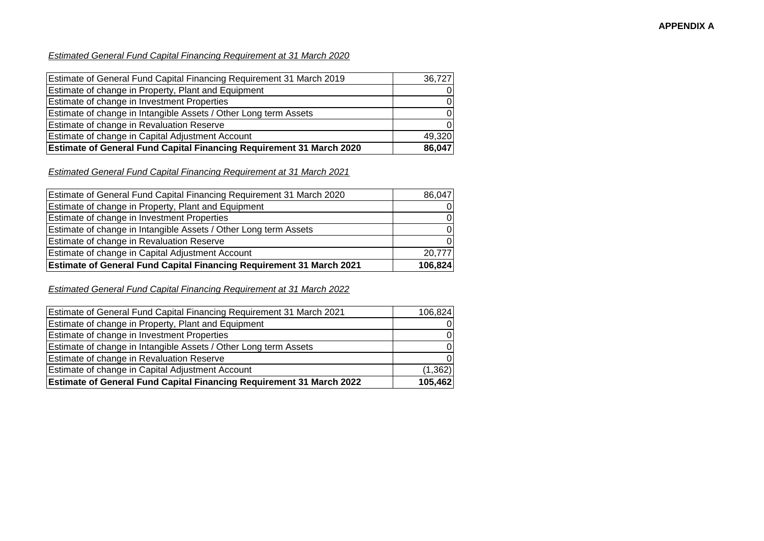#### **APPENDIX A**

## *Estimated General Fund Capital Financing Requirement at 31 March 2020*

| Estimate of General Fund Capital Financing Requirement 31 March 2019        | 36.727   |
|-----------------------------------------------------------------------------|----------|
| <b>Estimate of change in Property, Plant and Equipment</b>                  | $\Omega$ |
| Estimate of change in Investment Properties                                 | $\Omega$ |
| Estimate of change in Intangible Assets / Other Long term Assets            | $\Omega$ |
| <b>Estimate of change in Revaluation Reserve</b>                            | $\Omega$ |
| Estimate of change in Capital Adjustment Account                            | 49,320   |
| <b>Estimate of General Fund Capital Financing Requirement 31 March 2020</b> | 86,047   |

# *Estimated General Fund Capital Financing Requirement at 31 March 2021*

| Estimate of General Fund Capital Financing Requirement 31 March 2020        | 86,047  |
|-----------------------------------------------------------------------------|---------|
| Estimate of change in Property, Plant and Equipment                         |         |
| Estimate of change in Investment Properties                                 |         |
| Estimate of change in Intangible Assets / Other Long term Assets            |         |
| Estimate of change in Revaluation Reserve                                   |         |
| Estimate of change in Capital Adjustment Account                            | 20,777  |
| <b>Estimate of General Fund Capital Financing Requirement 31 March 2021</b> | 106,824 |

# *Estimated General Fund Capital Financing Requirement at 31 March 2022*

| Estimate of General Fund Capital Financing Requirement 31 March 2021        | 106,824  |
|-----------------------------------------------------------------------------|----------|
| Estimate of change in Property, Plant and Equipment                         |          |
| Estimate of change in Investment Properties                                 |          |
| Estimate of change in Intangible Assets / Other Long term Assets            |          |
| <b>Estimate of change in Revaluation Reserve</b>                            |          |
| Estimate of change in Capital Adjustment Account                            | (1, 362) |
| <b>Estimate of General Fund Capital Financing Requirement 31 March 2022</b> | 105,462  |